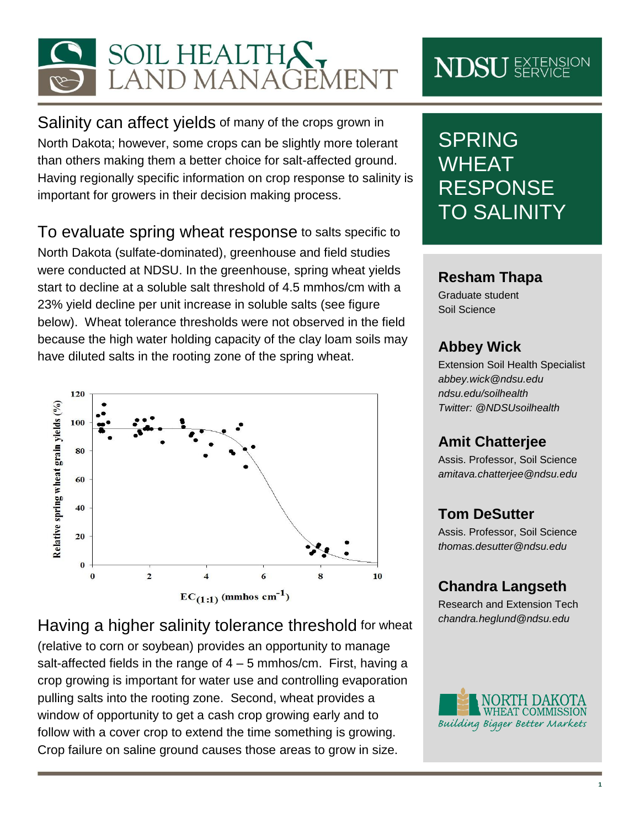

Salinity can affect yields of many of the crops grown in North Dakota; however, some crops can be slightly more tolerant than others making them a better choice for salt-affected ground. Having regionally specific information on crop response to salinity is important for growers in their decision making process.

To evaluate spring wheat response to salts specific to North Dakota (sulfate-dominated), greenhouse and field studies were conducted at NDSU. In the greenhouse, spring wheat yields start to decline at a soluble salt threshold of 4.5 mmhos/cm with a 23% yield decline per unit increase in soluble salts (see figure below). Wheat tolerance thresholds were not observed in the field because the high water holding capacity of the clay loam soils may have diluted salts in the rooting zone of the spring wheat.



Having a higher salinity tolerance threshold for wheat (relative to corn or soybean) provides an opportunity to manage salt-affected fields in the range of  $4 - 5$  mmhos/cm. First, having a crop growing is important for water use and controlling evaporation pulling salts into the rooting zone. Second, wheat provides a window of opportunity to get a cash crop growing early and to follow with a cover crop to extend the time something is growing. Crop failure on saline ground causes those areas to grow in size.

# **NDSU** EXTENSION

# SPRING WHEAT RESPONSE TO SALINITY

#### **Resham Thapa**

Graduate student Soil Science

#### **Abbey Wick**

Extension Soil Health Specialist *[abbey.wick@ndsu.edu](mailto:abbey.wick@ndsu.edu) ndsu.edu/soilhealth Twitter: @NDSUsoilhealth*

### **Amit Chatterjee**

Assis. Professor, Soil Science *amitava.chatterjee@ndsu.edu*

### **Tom DeSutter**

Assis. Professor, Soil Science *thomas.desutter@ndsu.edu*

### **Chandra Langseth**

Research and Extension Tech *[chandra.heglund@ndsu.edu](mailto:thomas.desutter@ndsu.edu)*